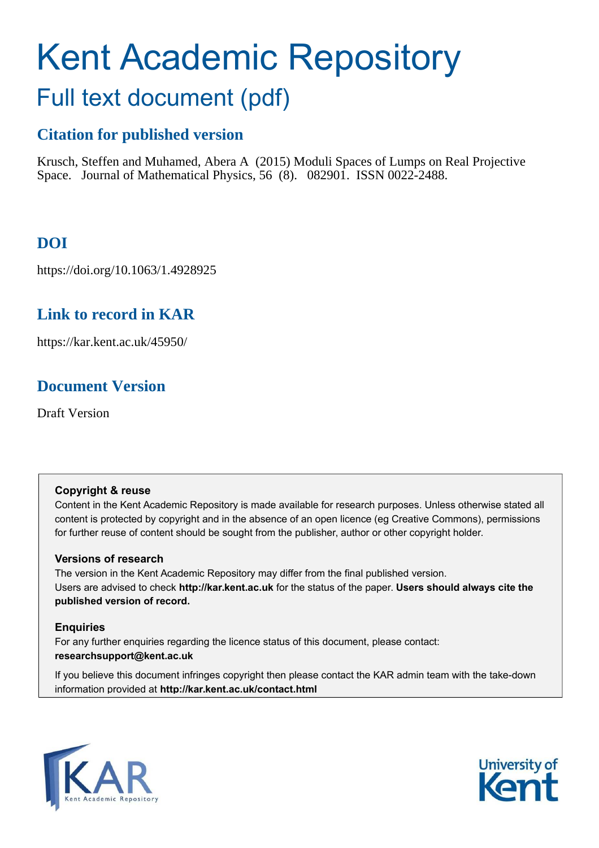# Kent Academic Repository

# Full text document (pdf)

## **Citation for published version**

Krusch, Steffen and Muhamed, Abera A (2015) Moduli Spaces of Lumps on Real Projective Space. Journal of Mathematical Physics, 56 (8). 082901. ISSN 0022-2488.

## **DOI**

https://doi.org/10.1063/1.4928925

## **Link to record in KAR**

https://kar.kent.ac.uk/45950/

## **Document Version**

Draft Version

#### **Copyright & reuse**

Content in the Kent Academic Repository is made available for research purposes. Unless otherwise stated all content is protected by copyright and in the absence of an open licence (eg Creative Commons), permissions for further reuse of content should be sought from the publisher, author or other copyright holder.

#### **Versions of research**

The version in the Kent Academic Repository may differ from the final published version. Users are advised to check **http://kar.kent.ac.uk** for the status of the paper. **Users should always cite the published version of record.**

#### **Enquiries**

For any further enquiries regarding the licence status of this document, please contact: **researchsupport@kent.ac.uk**

If you believe this document infringes copyright then please contact the KAR admin team with the take-down information provided at **http://kar.kent.ac.uk/contact.html**



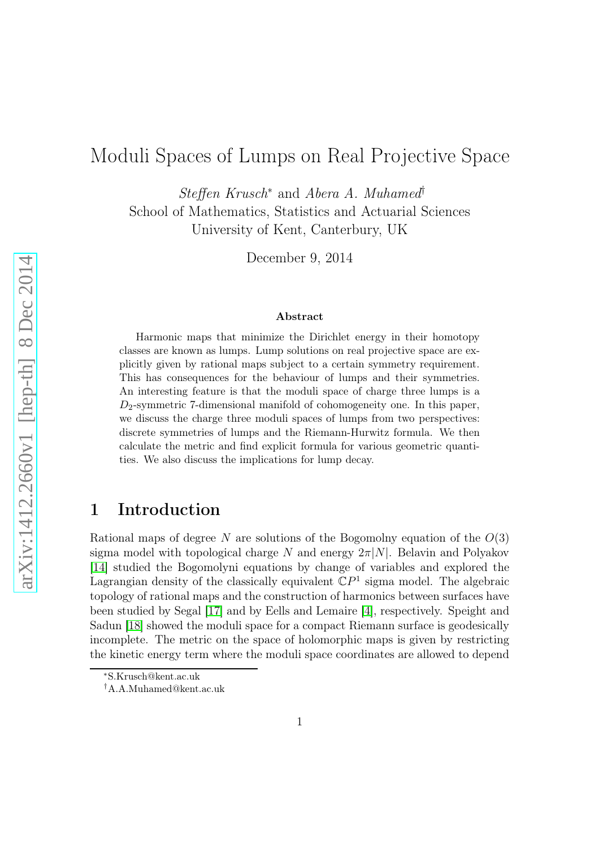## Moduli Spaces of Lumps on Real Projective Space

Steffen Krusch<sup>∗</sup> and Abera A. Muhamed† School of Mathematics, Statistics and Actuarial Sciences University of Kent, Canterbury, UK

December 9, 2014

#### Abstract

Harmonic maps that minimize the Dirichlet energy in their homotopy classes are known as lumps. Lump solutions on real projective space are explicitly given by rational maps subject to a certain symmetry requirement. This has consequences for the behaviour of lumps and their symmetries. An interesting feature is that the moduli space of charge three lumps is a  $D_2$ -symmetric 7-dimensional manifold of cohomogeneity one. In this paper, we discuss the charge three moduli spaces of lumps from two perspectives: discrete symmetries of lumps and the Riemann-Hurwitz formula. We then calculate the metric and find explicit formula for various geometric quantities. We also discuss the implications for lump decay.

#### 1 Introduction

Rational maps of degree N are solutions of the Bogomolny equation of the  $O(3)$ sigma model with topological charge N and energy  $2\pi|N|$ . Belavin and Polyakov [\[14\]](#page-21-0) studied the Bogomolyni equations by change of variables and explored the Lagrangian density of the classically equivalent  $\mathbb{C}P^1$  sigma model. The algebraic topology of rational maps and the construction of harmonics between surfaces have been studied by Segal [\[17\]](#page-21-1) and by Eells and Lemaire [\[4\]](#page-21-2), respectively. Speight and Sadun [\[18\]](#page-22-0) showed the moduli space for a compact Riemann surface is geodesically incomplete. The metric on the space of holomorphic maps is given by restricting the kinetic energy term where the moduli space coordinates are allowed to depend

<sup>∗</sup>S.Krusch@kent.ac.uk

<sup>†</sup>A.A.Muhamed@kent.ac.uk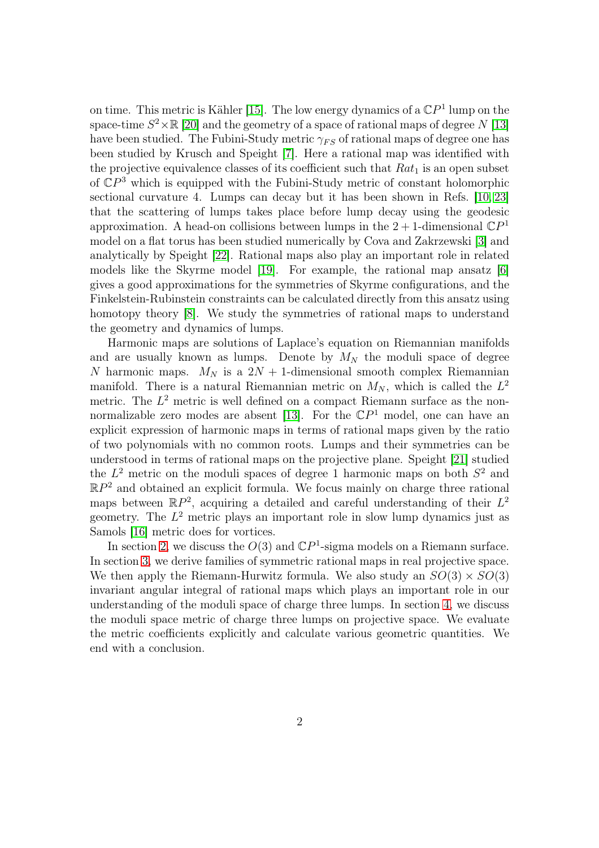<span id="page-2-0"></span>on time. This metric is Kähler [\[15\]](#page-21-3). The low energy dynamics of a  $\mathbb{C}P<sup>1</sup>$  lump on the space-time  $S^2 \times \mathbb{R}$  [\[20\]](#page-22-1) and the geometry of a space of rational maps of degree N [\[13\]](#page-21-4) have been studied. The Fubini-Study metric  $\gamma_{FS}$  of rational maps of degree one has been studied by Krusch and Speight [\[7\]](#page-21-5). Here a rational map was identified with the projective equivalence classes of its coefficient such that  $Rat_1$  is an open subset of CP <sup>3</sup> which is equipped with the Fubini-Study metric of constant holomorphic sectional curvature 4. Lumps can decay but it has been shown in Refs. [\[10,](#page-21-6) [23\]](#page-22-2) that the scattering of lumps takes place before lump decay using the geodesic approximation. A head-on collisions between lumps in the  $2+1$ -dimensional  $\mathbb{C}P<sup>1</sup>$ model on a flat torus has been studied numerically by Cova and Zakrzewski [\[3\]](#page-21-7) and analytically by Speight [\[22\]](#page-22-3). Rational maps also play an important role in related models like the Skyrme model [\[19\]](#page-22-4). For example, the rational map ansatz [\[6\]](#page-21-8) gives a good approximations for the symmetries of Skyrme configurations, and the Finkelstein-Rubinstein constraints can be calculated directly from this ansatz using homotopy theory [\[8\]](#page-21-9). We study the symmetries of rational maps to understand the geometry and dynamics of lumps.

<span id="page-2-1"></span>Harmonic maps are solutions of Laplace's equation on Riemannian manifolds and are usually known as lumps. Denote by  $M_N$  the moduli space of degree N harmonic maps.  $M_N$  is a  $2N + 1$ -dimensional smooth complex Riemannian manifold. There is a natural Riemannian metric on  $M_N$ , which is called the  $L^2$ metric. The  $L^2$  metric is well defined on a compact Riemann surface as the non-normalizable zero modes are absent [\[13\]](#page-21-4). For the  $\mathbb{C}P<sup>1</sup>$  model, one can have an explicit expression of harmonic maps in terms of rational maps given by the ratio of two polynomials with no common roots. Lumps and their symmetries can be understood in terms of rational maps on the projective plane. Speight [\[21\]](#page-22-5) studied the  $L^2$  metric on the moduli spaces of degree 1 harmonic maps on both  $S^2$  and  $\mathbb{R}P^2$  and obtained an explicit formula. We focus mainly on charge three rational maps between  $\mathbb{R}P^2$ , acquiring a detailed and careful understanding of their  $L^2$ geometry. The  $L^2$  metric plays an important role in slow lump dynamics just as Samols [\[16\]](#page-21-10) metric does for vortices.

In section [2,](#page-2-0) we discuss the  $O(3)$  and  $\mathbb{C}P<sup>1</sup>$ -sigma models on a Riemann surface. In section [3,](#page-4-0) we derive families of symmetric rational maps in real projective space. We then apply the Riemann-Hurwitz formula. We also study an  $SO(3) \times SO(3)$ invariant angular integral of rational maps which plays an important role in our understanding of the moduli space of charge three lumps. In section [4,](#page-12-0) we discuss the moduli space metric of charge three lumps on projective space. We evaluate the metric coefficients explicitly and calculate various geometric quantities. We end with a conclusion.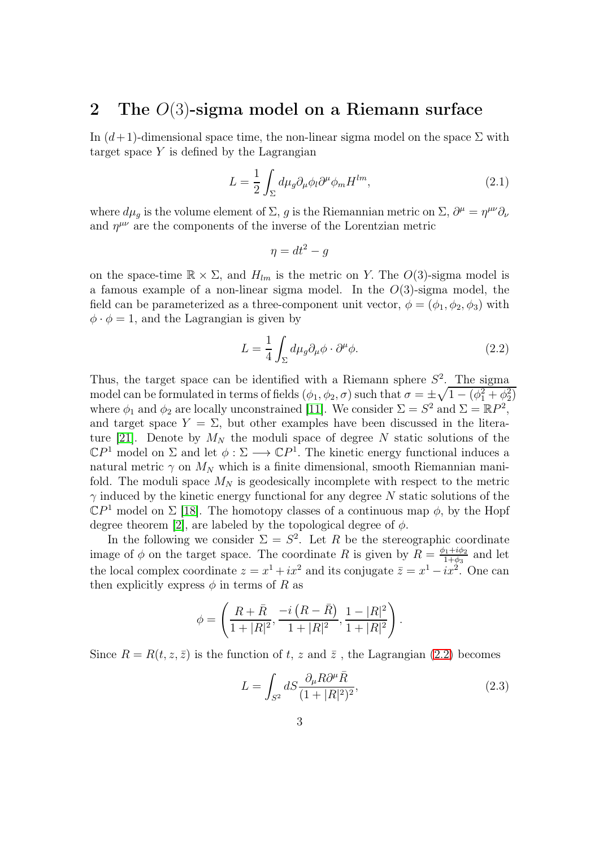#### 2 The  $O(3)$ -sigma model on a Riemann surface

In  $(d+1)$ -dimensional space time, the non-linear sigma model on the space  $\Sigma$  with target space  $Y$  is defined by the Lagrangian

$$
L = \frac{1}{2} \int_{\Sigma} d\mu_g \partial_{\mu} \phi_l \partial^{\mu} \phi_m H^{lm}, \qquad (2.1)
$$

where  $d\mu_g$  is the volume element of  $\Sigma$ , g is the Riemannian metric on  $\Sigma$ ,  $\partial^\mu = \eta^{\mu\nu}\partial_\nu$ and  $\eta^{\mu\nu}$  are the components of the inverse of the Lorentzian metric

$$
\eta = dt^2 - g
$$

on the space-time  $\mathbb{R} \times \Sigma$ , and  $H_{lm}$  is the metric on Y. The  $O(3)$ -sigma model is a famous example of a non-linear sigma model. In the  $O(3)$ -sigma model, the field can be parameterized as a three-component unit vector,  $\phi = (\phi_1, \phi_2, \phi_3)$  with  $\phi \cdot \phi = 1$ , and the Lagrangian is given by

$$
L = \frac{1}{4} \int_{\Sigma} d\mu_g \partial_{\mu} \phi \cdot \partial^{\mu} \phi.
$$
 (2.2)

Thus, the target space can be identified with a Riemann sphere  $S^2$ . The sigma model can be formulated in terms of fields  $(\phi_1, \phi_2, \sigma)$  such that  $\sigma = \pm \sqrt{1 - (\phi_1^2 + \phi_2^2)}$ where  $\phi_1$  and  $\phi_2$  are locally unconstrained [\[11\]](#page-21-11). We consider  $\Sigma = S^2$  and  $\Sigma = \mathbb{R}P^2$ , and target space  $Y = \Sigma$ , but other examples have been discussed in the litera-ture [\[21\]](#page-22-5). Denote by  $M_N$  the moduli space of degree N static solutions of the  $\mathbb{C}P^1$  model on  $\Sigma$  and let  $\phi : \Sigma \longrightarrow \mathbb{C}P^1$ . The kinetic energy functional induces a natural metric  $\gamma$  on  $M_N$  which is a finite dimensional, smooth Riemannian manifold. The moduli space  $M_N$  is geodesically incomplete with respect to the metric  $\gamma$  induced by the kinetic energy functional for any degree N static solutions of the  $\mathbb{C}P^1$  model on  $\Sigma$  [\[18\]](#page-22-0). The homotopy classes of a continuous map  $\phi$ , by the Hopf degree theorem [\[2\]](#page-20-0), are labeled by the topological degree of  $\phi$ .

In the following we consider  $\Sigma = S^2$ . Let R be the stereographic coordinate image of  $\phi$  on the target space. The coordinate R is given by  $R = \frac{\phi_1 + i\phi_2}{1 + \phi_2}$  $\frac{\rho_1+i\varphi_2}{1+\phi_3}$  and let the local complex coordinate  $z = x^1 + ix^2$  and its conjugate  $\overline{z} = x^1 - ix^2$ . One can then explicitly express  $\phi$  in terms of R as

$$
\phi = \left( \frac{R+\bar{R}}{1+|R|^2}, \frac{-i (R-\bar{R})}{1+|R|^2}, \frac{1-|R|^2}{1+|R|^2} \right).
$$

Since  $R = R(t, z, \bar{z})$  is the function of t, z and  $\bar{z}$ , the Lagrangian [\(2.2\)](#page-2-1) becomes

$$
L = \int_{S^2} dS \frac{\partial_{\mu} R \partial^{\mu} \bar{R}}{(1 + |R|^2)^2},\tag{2.3}
$$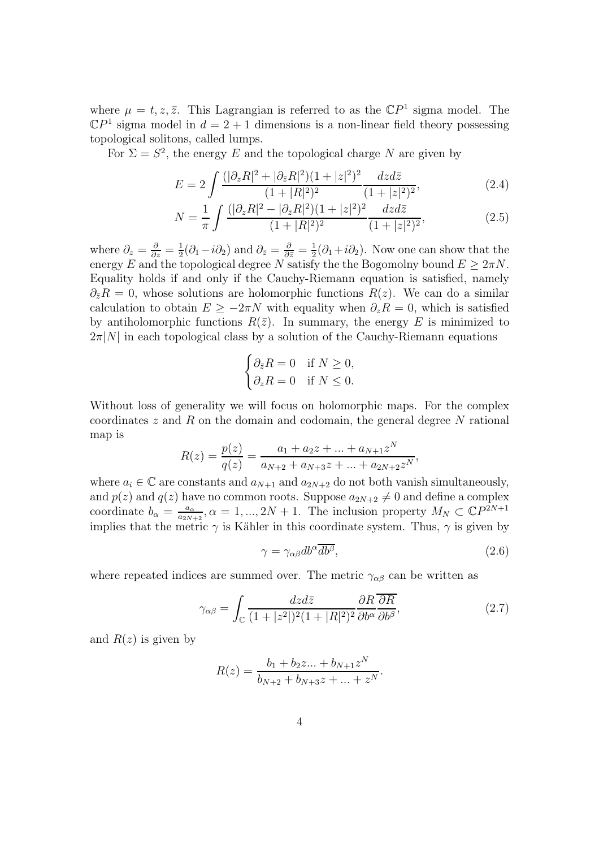<span id="page-4-0"></span>where  $\mu = t, z, \bar{z}$ . This Lagrangian is referred to as the  $\mathbb{C}P^1$  sigma model. The  $\mathbb{C}P^1$  sigma model in  $d = 2 + 1$  dimensions is a non-linear field theory possessing topological solitons, called lumps.

For  $\Sigma = S^2$ , the energy E and the topological charge N are given by

<span id="page-4-1"></span>
$$
E = 2 \int \frac{(|\partial_z R|^2 + |\partial_{\bar{z}} R|^2)(1 + |z|^2)^2}{(1 + |R|^2)^2} \frac{dzd\bar{z}}{(1 + |z|^2)^2},
$$
(2.4)

$$
N = \frac{1}{\pi} \int \frac{(|\partial_z R|^2 - |\partial_{\bar{z}} R|^2)(1+|z|^2)^2}{(1+|R|^2)^2} \frac{dzd\bar{z}}{(1+|z|^2)^2},
$$
(2.5)

where  $\partial_z = \frac{\partial}{\partial z} = \frac{1}{2}$  $\frac{1}{2}(\partial_1 - i \partial_2)$  and  $\partial_{\bar{z}} = \frac{\partial}{\partial \bar{z}} = \frac{1}{2}$  $\frac{1}{2}(\partial_1 + i\partial_2)$ . Now one can show that the energy E and the topological degree N satisfy the the Bogomolny bound  $E \ge 2\pi N$ . Equality holds if and only if the Cauchy-Riemann equation is satisfied, namely  $\partial_{\overline{z}}R = 0$ , whose solutions are holomorphic functions  $R(z)$ . We can do a similar calculation to obtain  $E \geq -2\pi N$  with equality when  $\partial_z R = 0$ , which is satisfied by antiholomorphic functions  $R(\bar{z})$ . In summary, the energy E is minimized to  $2\pi|N|$  in each topological class by a solution of the Cauchy-Riemann equations

$$
\begin{cases} \partial_{\bar{z}} R = 0 & \text{if } N \ge 0, \\ \partial_z R = 0 & \text{if } N \le 0. \end{cases}
$$

<span id="page-4-3"></span>Without loss of generality we will focus on holomorphic maps. For the complex coordinates  $z$  and  $R$  on the domain and codomain, the general degree  $N$  rational map is

$$
R(z) = \frac{p(z)}{q(z)} = \frac{a_1 + a_2 z + \dots + a_{N+1} z^N}{a_{N+2} + a_{N+3} z + \dots + a_{2N+2} z^N},
$$

where  $a_i \in \mathbb{C}$  are constants and  $a_{N+1}$  and  $a_{2N+2}$  do not both vanish simultaneously, and  $p(z)$  and  $q(z)$  have no common roots. Suppose  $a_{2N+2} \neq 0$  and define a complex coordinate  $b_{\alpha} = \frac{a_{\alpha}}{a_{2N}}$  $\frac{a_{\alpha}}{a_{2N+2}}$ ,  $\alpha = 1, ..., 2N + 1$ . The inclusion property  $M_N \subset \mathbb{C}P^{2N+1}$ implies that the metric  $\gamma$  is Kähler in this coordinate system. Thus,  $\gamma$  is given by

<span id="page-4-2"></span>
$$
\gamma = \gamma_{\alpha\beta} db^{\alpha} \overline{db^{\beta}},\tag{2.6}
$$

where repeated indices are summed over. The metric  $\gamma_{\alpha\beta}$  can be written as

$$
\gamma_{\alpha\beta} = \int_{\mathbb{C}} \frac{dzd\bar{z}}{(1+|z^2|)^2(1+|R|^2)^2} \frac{\partial R}{\partial b^{\alpha}} \overline{\frac{\partial R}{\partial b^{\beta}}},\tag{2.7}
$$

and  $R(z)$  is given by

<span id="page-4-4"></span>
$$
R(z) = \frac{b_1 + b_2 z \dots + b_{N+1} z^N}{b_{N+2} + b_{N+3} z + \dots + z^N}.
$$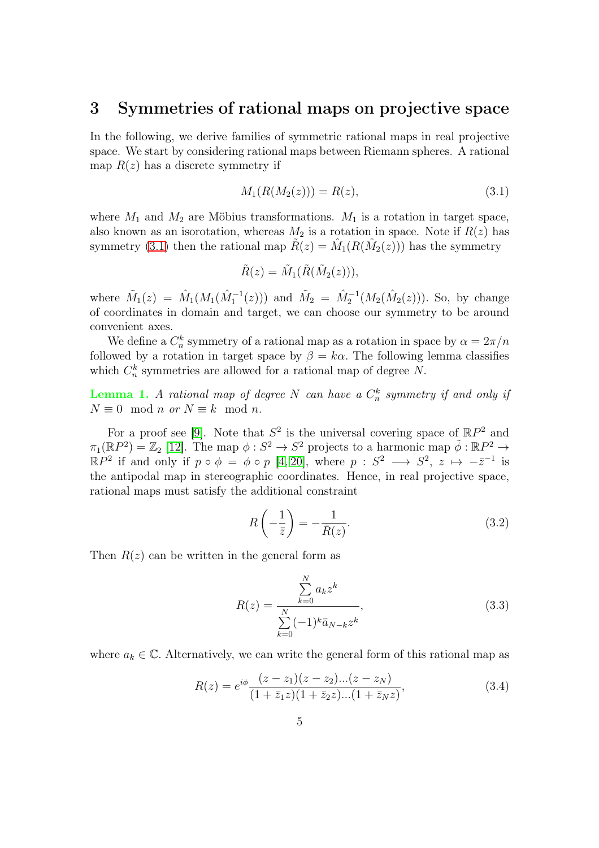#### 3 Symmetries of rational maps on projective space

<span id="page-5-3"></span>In the following, we derive families of symmetric rational maps in real projective space. We start by considering rational maps between Riemann spheres. A rational map  $R(z)$  has a discrete symmetry if

$$
M_1(R(M_2(z))) = R(z),\tag{3.1}
$$

where  $M_1$  and  $M_2$  are Möbius transformations.  $M_1$  is a rotation in target space, also known as an isorotation, whereas  $M_2$  is a rotation in space. Note if  $R(z)$  has symmetry [\(3.1\)](#page-4-1) then the rational map  $\tilde{R}(z) = \hat{M}_1(R(\hat{M}_2(z)))$  has the symmetry

$$
\tilde{R}(z) = \tilde{M}_1(\tilde{R}(\tilde{M}_2(z))),
$$

where  $\tilde{M}_1(z) = \hat{M}_1(M_1(\hat{M}_1^{-1}(z)))$  and  $\tilde{M}_2 = \hat{M}_2^{-1}(M_2(\hat{M}_2(z)))$ . So, by change of coordinates in domain and target, we can choose our symmetry to be around convenient axes.

We define a  $C_n^k$  symmetry of a rational map as a rotation in space by  $\alpha = 2\pi/n$ followed by a rotation in target space by  $\beta = k\alpha$ . The following lemma classifies which  $C_n^k$  symmetries are allowed for a rational map of degree N.

**Lemma 1.** A rational map of degree N can have a  $C_n^k$  symmetry if and only if  $N \equiv 0 \mod n$  or  $N \equiv k \mod n$ .

For a proof see [\[9\]](#page-21-12). Note that  $S^2$  is the universal covering space of  $\mathbb{R}P^2$  and  $\pi_1(\mathbb{R}P^2) = \mathbb{Z}_2$  [\[12\]](#page-21-13). The map  $\phi: S^2 \to S^2$  projects to a harmonic map  $\tilde{\phi}: \mathbb{R}P^2 \to$  $\mathbb{R}P^2$  if and only if  $p \circ \phi = \phi \circ p$  [\[4,](#page-21-2) [20\]](#page-22-1), where  $p : S^2 \longrightarrow S^2$ ,  $z \mapsto -\overline{z}^{-1}$  is the antipodal map in stereographic coordinates. Hence, in real projective space, rational maps must satisfy the additional constraint

<span id="page-5-2"></span><span id="page-5-1"></span>
$$
R\left(-\frac{1}{\bar{z}}\right) = -\frac{1}{\bar{R}(z)}.\tag{3.2}
$$

Then  $R(z)$  can be written in the general form as

<span id="page-5-0"></span>
$$
R(z) = \frac{\sum_{k=0}^{N} a_k z^k}{\sum_{k=0}^{N} (-1)^k \bar{a}_{N-k} z^k},
$$
\n(3.3)

where  $a_k \in \mathbb{C}$ . Alternatively, we can write the general form of this rational map as

$$
R(z) = e^{i\phi} \frac{(z - z_1)(z - z_2)...(z - z_N)}{(1 + \bar{z}_1 z)(1 + \bar{z}_2 z)...(1 + \bar{z}_N z)},
$$
(3.4)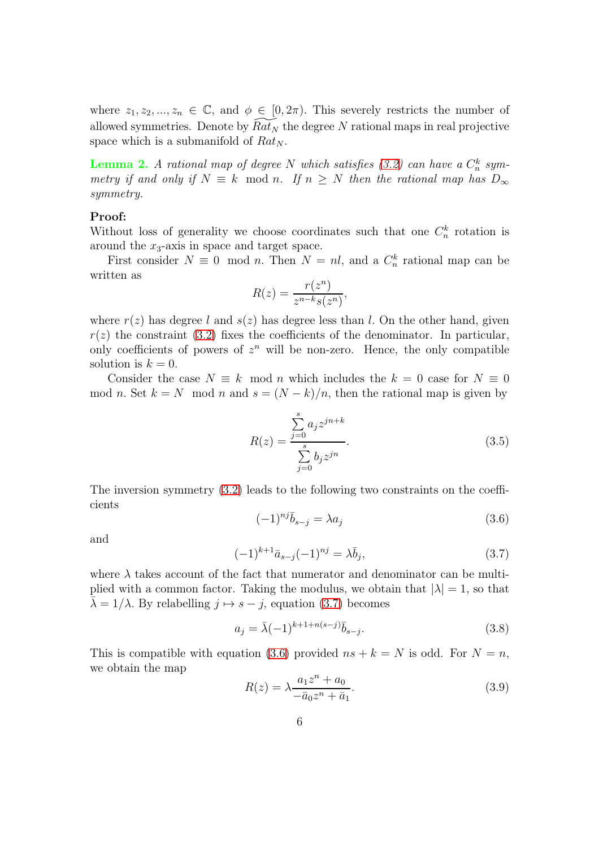where  $z_1, z_2, ..., z_n \in \mathbb{C}$ , and  $\phi \in [0, 2\pi)$ . This severely restricts the number of allowed symmetries. Denote by  $Rat_N$  the degree N rational maps in real projective space which is a submanifold of  $Rat_N$ .

**Lemma 2.** A rational map of degree N which satisfies [\(3.2\)](#page-4-2) can have a  $C_n^k$  symmetry if and only if  $N \equiv k \mod n$ . If  $n \geq N$  then the rational map has  $D_{\infty}$ symmetry.

#### Proof:

Without loss of generality we choose coordinates such that one  $C_n^k$  rotation is around the  $x_3$ -axis in space and target space.

First consider  $N \equiv 0 \mod n$ . Then  $N = nl$ , and a  $C_n^k$  rational map can be written as

$$
R(z) = \frac{r(z^n)}{z^{n-k}s(z^n)},
$$

where  $r(z)$  has degree l and  $s(z)$  has degree less than l. On the other hand, given  $r(z)$  the constraint [\(3.2\)](#page-4-2) fixes the coefficients of the denominator. In particular, only coefficients of powers of  $z^n$  will be non-zero. Hence, the only compatible solution is  $k = 0$ .

Consider the case  $N \equiv k \mod n$  which includes the  $k = 0$  case for  $N \equiv 0$ mod n. Set  $k = N \mod n$  and  $s = (N - k)/n$ , then the rational map is given by

<span id="page-6-0"></span>
$$
R(z) = \frac{\sum_{j=0}^{s} a_j z^{jn+k}}{\sum_{j=0}^{s} b_j z^{jn}}.
$$
\n(3.5)

The inversion symmetry [\(3.2\)](#page-4-2) leads to the following two constraints on the coefficients

$$
(-1)^{nj}\bar{b}_{s-j} = \lambda a_j \tag{3.6}
$$

and

$$
(-1)^{k+1}\bar{a}_{s-j}(-1)^{nj} = \lambda \bar{b}_j,
$$
\n(3.7)

where  $\lambda$  takes account of the fact that numerator and denominator can be multiplied with a common factor. Taking the modulus, we obtain that  $|\lambda| = 1$ , so that  $\bar{\lambda} = 1/\lambda$ . By relabelling  $j \mapsto s - j$ , equation [\(3.7\)](#page-5-0) becomes

$$
a_j = \bar{\lambda}(-1)^{k+1+n(s-j)}\bar{b}_{s-j}.
$$
\n(3.8)

This is compatible with equation [\(3.6\)](#page-5-1) provided  $ns + k = N$  is odd. For  $N = n$ , we obtain the map

$$
R(z) = \lambda \frac{a_1 z^n + a_0}{-\bar{a}_0 z^n + \bar{a}_1}.
$$
\n(3.9)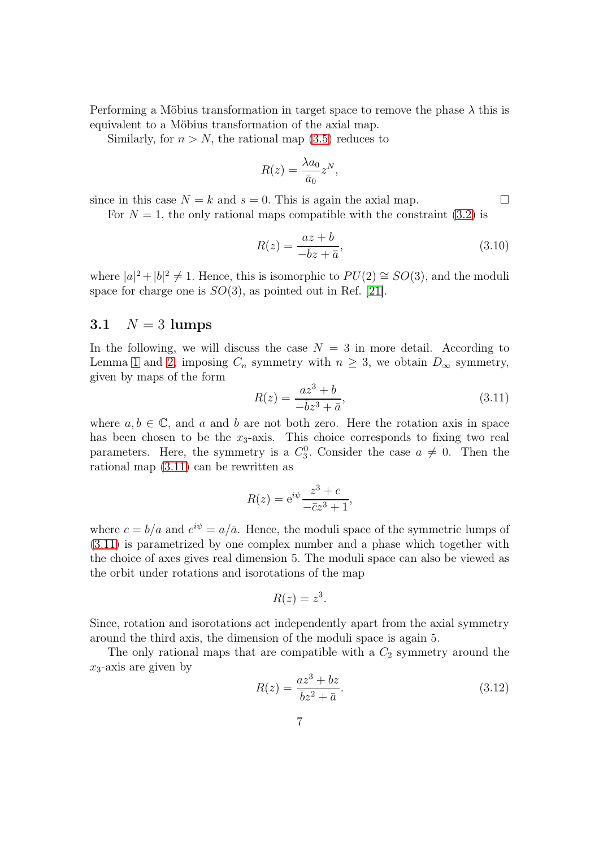Performing a Möbius transformation in target space to remove the phase  $\lambda$  this is equivalent to a Möbius transformation of the axial map.

Similarly, for  $n > N$ , the rational map [\(3.5\)](#page-5-2) reduces to

<span id="page-7-0"></span>
$$
R(z) = \frac{\lambda a_0}{\bar{a}_0} z^N,
$$

since in this case  $N = k$  and  $s = 0$ . This is again the axial map.

For  $N = 1$ , the only rational maps compatible with the constraint [\(3.2\)](#page-4-2) is

$$
R(z) = \frac{az + b}{-\overline{b}z + \overline{a}},\tag{3.10}
$$

where  $|a|^2 + |b|^2 \neq 1$ . Hence, this is isomorphic to  $PU(2) \cong SO(3)$ , and the moduli space for charge one is  $SO(3)$ , as pointed out in Ref. [\[21\]](#page-22-5).

#### 3.1  $N = 3$  lumps

In the following, we will discuss the case  $N = 3$  in more detail. According to Lemma [1](#page-4-3) and [2,](#page-5-3) imposing  $C_n$  symmetry with  $n \geq 3$ , we obtain  $D_{\infty}$  symmetry, given by maps of the form

<span id="page-7-1"></span>
$$
R(z) = \frac{az^3 + b}{-\bar{b}z^3 + \bar{a}},
$$
\n(3.11)

where  $a, b \in \mathbb{C}$ , and a and b are not both zero. Here the rotation axis in space has been chosen to be the  $x_3$ -axis. This choice corresponds to fixing two real parameters. Here, the symmetry is a  $C_3^0$ . Consider the case  $a \neq 0$ . Then the rational map [\(3.11\)](#page-6-0) can be rewritten as

$$
R(z) = e^{i\psi} \frac{z^3 + c}{-\bar{c}z^3 + 1},
$$

where  $c = b/a$  and  $e^{i\psi} = a/\bar{a}$ . Hence, the moduli space of the symmetric lumps of [\(3.11\)](#page-6-0) is parametrized by one complex number and a phase which together with the choice of axes gives real dimension 5. The moduli space can also be viewed as the orbit under rotations and isorotations of the map

$$
R(z) = z^3.
$$

Since, rotation and isorotations act independently apart from the axial symmetry around the third axis, the dimension of the moduli space is again 5.

The only rational maps that are compatible with a  $C_2$  symmetry around the  $x_3$ -axis are given by

$$
R(z) = \frac{az^3 + bz}{\overline{b}z^2 + \overline{a}}.\tag{3.12}
$$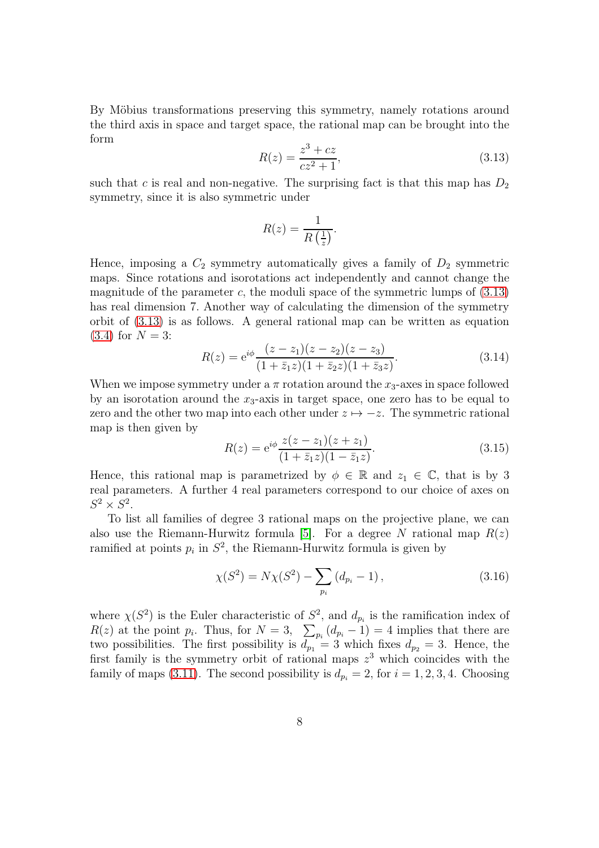By Möbius transformations preserving this symmetry, namely rotations around the third axis in space and target space, the rational map can be brought into the form

<span id="page-8-0"></span>
$$
R(z) = \frac{z^3 + cz}{cz^2 + 1},
$$
\n(3.13)

such that c is real and non-negative. The surprising fact is that this map has  $D_2$ symmetry, since it is also symmetric under

$$
R(z) = \frac{1}{R\left(\frac{1}{z}\right)}.
$$

Hence, imposing a  $C_2$  symmetry automatically gives a family of  $D_2$  symmetric maps. Since rotations and isorotations act independently and cannot change the magnitude of the parameter c, the moduli space of the symmetric lumps of  $(3.13)$ has real dimension 7. Another way of calculating the dimension of the symmetry orbit of [\(3.13\)](#page-7-0) is as follows. A general rational map can be written as equation  $(3.4)$  for  $N = 3$ :

<span id="page-8-1"></span>
$$
R(z) = e^{i\phi} \frac{(z - z_1)(z - z_2)(z - z_3)}{(1 + \bar{z}_1 z)(1 + \bar{z}_2 z)(1 + \bar{z}_3 z)}.
$$
(3.14)

When we impose symmetry under a  $\pi$  rotation around the  $x_3$ -axes in space followed by an isorotation around the  $x_3$ -axis in target space, one zero has to be equal to zero and the other two map into each other under  $z \mapsto -z$ . The symmetric rational map is then given by

$$
R(z) = e^{i\phi} \frac{z(z - z_1)(z + z_1)}{(1 + \bar{z}_1 z)(1 - \bar{z}_1 z)}.
$$
\n(3.15)

Hence, this rational map is parametrized by  $\phi \in \mathbb{R}$  and  $z_1 \in \mathbb{C}$ , that is by 3 real parameters. A further 4 real parameters correspond to our choice of axes on  $S^2 \times S^2$ .

To list all families of degree 3 rational maps on the projective plane, we can also use the Riemann-Hurwitz formula [\[5\]](#page-21-14). For a degree N rational map  $R(z)$ ramified at points  $p_i$  in  $S^2$ , the Riemann-Hurwitz formula is given by

$$
\chi(S^2) = N\chi(S^2) - \sum_{p_i} (d_{p_i} - 1), \qquad (3.16)
$$

where  $\chi(S^2)$  is the Euler characteristic of  $S^2$ , and  $d_{p_i}$  is the ramification index of  $R(z)$  at the point  $p_i$ . Thus, for  $N=3$ ,  $\sum_{p_i}(d_{p_i}-1)=4$  implies that there are two possibilities. The first possibility is  $d_{p_1} = 3$  which fixes  $d_{p_2} = 3$ . Hence, the first family is the symmetry orbit of rational maps  $z<sup>3</sup>$  which coincides with the family of maps [\(3.11\)](#page-6-0). The second possibility is  $d_{p_i} = 2$ , for  $i = 1, 2, 3, 4$ . Choosing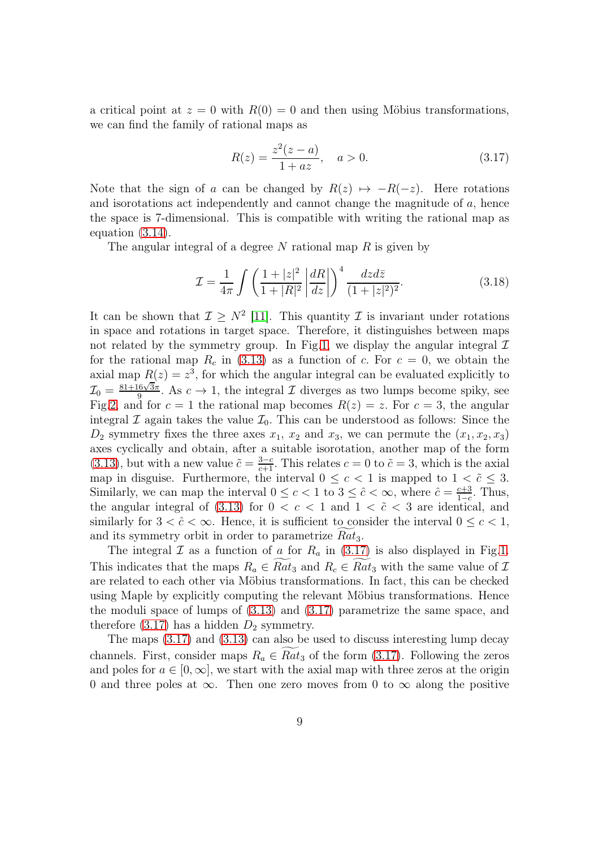<span id="page-9-0"></span>a critical point at  $z = 0$  with  $R(0) = 0$  and then using Möbius transformations, we can find the family of rational maps as

$$
R(z) = \frac{z^2(z-a)}{1+az}, \quad a > 0.
$$
 (3.17)

Note that the sign of a can be changed by  $R(z) \mapsto -R(-z)$ . Here rotations and isorotations act independently and cannot change the magnitude of  $a$ , hence the space is 7-dimensional. This is compatible with writing the rational map as equation [\(3.14\)](#page-7-1).

The angular integral of a degree  $N$  rational map  $R$  is given by

$$
\mathcal{I} = \frac{1}{4\pi} \int \left( \frac{1+|z|^2}{1+|R|^2} \left| \frac{dR}{dz} \right| \right)^4 \frac{dzd\bar{z}}{(1+|z|^2)^2}.
$$
 (3.18)

It can be shown that  $\mathcal{I} \geq N^2$  [\[11\]](#page-21-11). This quantity  $\mathcal{I}$  is invariant under rotations in space and rotations in target space. Therefore, it distinguishes between maps not related by the symmetry group. In Fig[.1,](#page-9-0) we display the angular integral  $\mathcal I$ for the rational map  $R_c$  in [\(3.13\)](#page-7-0) as a function of c. For  $c = 0$ , we obtain the axial map  $R(z) = z<sup>3</sup>$ , for which the angular integral can be evaluated explicitly to  $\mathcal{I}_0 = \frac{81+16\sqrt{3}\pi}{9}$  $\frac{16\sqrt{3\pi}}{9}$ . As  $c \to 1$ , the integral  $\mathcal I$  diverges as two lumps become spiky, see Fig[.2,](#page-13-0) and for  $c = 1$  the rational map becomes  $R(z) = z$ . For  $c = 3$ , the angular integral  $\mathcal I$  again takes the value  $\mathcal I_0$ . This can be understood as follows: Since the  $D_2$  symmetry fixes the three axes  $x_1, x_2$  and  $x_3$ , we can permute the  $(x_1, x_2, x_3)$ axes cyclically and obtain, after a suitable isorotation, another map of the form [\(3.13\)](#page-7-0), but with a new value  $\tilde{c} = \frac{3-c}{c+1}$ . This relates  $c = 0$  to  $\tilde{c} = 3$ , which is the axial map in disguise. Furthermore, the interval  $0 \leq c < 1$  is mapped to  $1 < \tilde{c} \leq 3$ . Similarly, we can map the interval  $0 \leq c < 1$  to  $3 \leq \hat{c} < \infty$ , where  $\hat{c} = \frac{c+3}{1-c}$  $rac{c+3}{1-c}$ . Thus, the angular integral of [\(3.13\)](#page-7-0) for  $0 < c < 1$  and  $1 < \tilde{c} < 3$  are identical, and similarly for  $3 < \hat{c} < \infty$ . Hence, it is sufficient to consider the interval  $0 \leq c < 1$ , and its symmetry orbit in order to parametrize  $Rat_3$ .

The integral  $\mathcal I$  as a function of a for  $R_a$  in [\(3.17\)](#page-8-0) is also displayed in Fig[.1.](#page-9-0) This indicates that the maps  $R_a \in Rat_3$  and  $R_c \in Rat_3$  with the same value of  $\mathcal I$ are related to each other via Möbius transformations. In fact, this can be checked using Maple by explicitly computing the relevant Möbius transformations. Hence the moduli space of lumps of [\(3.13\)](#page-7-0) and [\(3.17\)](#page-8-0) parametrize the same space, and therefore  $(3.17)$  has a hidden  $D_2$  symmetry.

The maps [\(3.17\)](#page-8-0) and [\(3.13\)](#page-7-0) can also be used to discuss interesting lump decay channels. First, consider maps  $R_a \in Rat_3$  of the form [\(3.17\)](#page-8-0). Following the zeros and poles for  $a \in [0, \infty]$ , we start with the axial map with three zeros at the origin 0 and three poles at  $\infty$ . Then one zero moves from 0 to  $\infty$  along the positive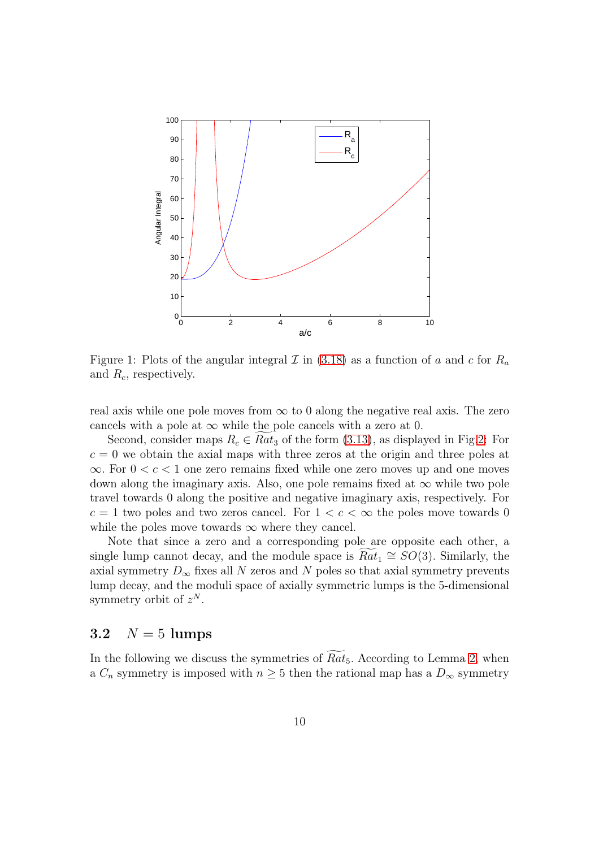<span id="page-10-3"></span>

Figure 1: Plots of the angular integral  $\mathcal I$  in [\(3.18\)](#page-8-1) as a function of a and c for  $R_a$ and  $R_c$ , respectively.

real axis while one pole moves from  $\infty$  to 0 along the negative real axis. The zero cancels with a pole at  $\infty$  while the pole cancels with a zero at 0.

<span id="page-10-0"></span>Second, consider maps  $R_c \in Rat_3$  of the form [\(3.13\)](#page-7-0), as displayed in Fig[.2:](#page-13-0) For  $c = 0$  we obtain the axial maps with three zeros at the origin and three poles at  $\infty$ . For  $0 < c < 1$  one zero remains fixed while one zero moves up and one moves down along the imaginary axis. Also, one pole remains fixed at  $\infty$  while two pole travel towards 0 along the positive and negative imaginary axis, respectively. For  $c = 1$  two poles and two zeros cancel. For  $1 < c < \infty$  the poles move towards 0 while the poles move towards  $\infty$  where they cancel.

<span id="page-10-1"></span>Note that since a zero and a corresponding pole are opposite each other, a single lump cannot decay, and the module space is  $Rat_1 \cong SO(3)$ . Similarly, the axial symmetry  $D_{\infty}$  fixes all N zeros and N poles so that axial symmetry prevents lump decay, and the moduli space of axially symmetric lumps is the 5-dimensional symmetry orbit of  $z^N$ .

#### <span id="page-10-2"></span>3.2  $N = 5$  lumps

In the following we discuss the symmetries of  $Rat_5$ . According to Lemma [2,](#page-5-3) when a  $C_n$  symmetry is imposed with  $n \geq 5$  then the rational map has a  $D_{\infty}$  symmetry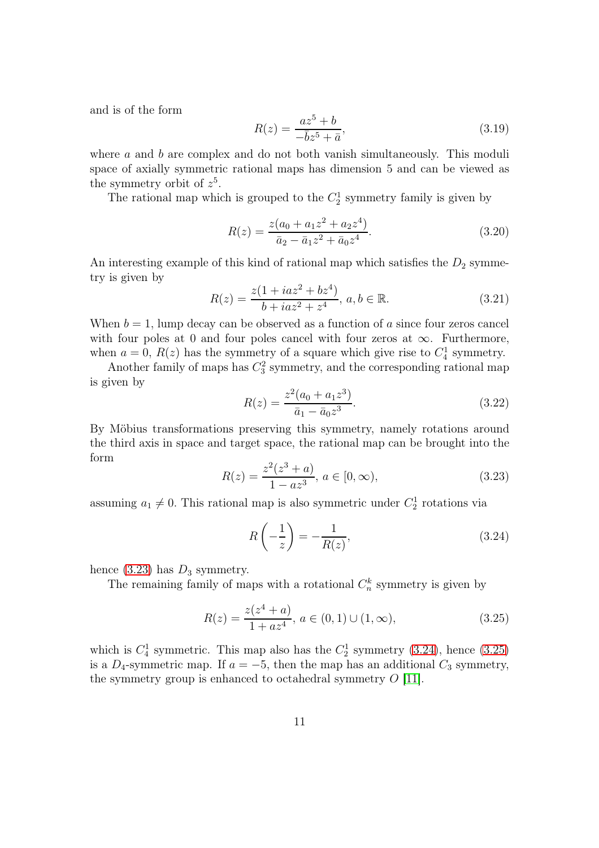and is of the form

$$
R(z) = \frac{az^5 + b}{-\bar{b}z^5 + \bar{a}},
$$
\n(3.19)

where  $\alpha$  and  $\dot{b}$  are complex and do not both vanish simultaneously. This moduli space of axially symmetric rational maps has dimension 5 and can be viewed as the symmetry orbit of  $z^5$ .

The rational map which is grouped to the  $C_2^1$  symmetry family is given by

$$
R(z) = \frac{z(a_0 + a_1 z^2 + a_2 z^4)}{\bar{a}_2 - \bar{a}_1 z^2 + \bar{a}_0 z^4}.
$$
\n(3.20)

An interesting example of this kind of rational map which satisfies the  $D_2$  symmetry is given by

$$
R(z) = \frac{z(1 + iaz^2 + bz^4)}{b + iaz^2 + z^4}, \ a, b \in \mathbb{R}.
$$
 (3.21)

When  $b = 1$ , lump decay can be observed as a function of a since four zeros cancel with four poles at 0 and four poles cancel with four zeros at  $\infty$ . Furthermore, when  $a = 0$ ,  $R(z)$  has the symmetry of a square which give rise to  $C_4^1$  symmetry.

Another family of maps has  $C_3^2$  symmetry, and the corresponding rational map is given by

<span id="page-11-0"></span>
$$
R(z) = \frac{z^2(a_0 + a_1 z^3)}{\bar{a}_1 - \bar{a}_0 z^3}.
$$
\n(3.22)

By Möbius transformations preserving this symmetry, namely rotations around the third axis in space and target space, the rational map can be brought into the form

$$
R(z) = \frac{z^2(z^3 + a)}{1 - az^3}, \, a \in [0, \infty), \tag{3.23}
$$

assuming  $a_1 \neq 0$ . This rational map is also symmetric under  $C_2^1$  rotations via

$$
R\left(-\frac{1}{z}\right) = -\frac{1}{R(z)},\tag{3.24}
$$

hence  $(3.23)$  has  $D_3$  symmetry.

The remaining family of maps with a rotational  $C_n^k$  symmetry is given by

$$
R(z) = \frac{z(z^4 + a)}{1 + az^4}, \ a \in (0, 1) \cup (1, \infty), \tag{3.25}
$$

which is  $C_4^1$  symmetric. This map also has the  $C_2^1$  symmetry [\(3.24\)](#page-10-1), hence [\(3.25\)](#page-10-2) is a  $D_4$ -symmetric map. If  $a = -5$ , then the map has an additional  $C_3$  symmetry, the symmetry group is enhanced to octahedral symmetry  $O$  [\[11\]](#page-21-11).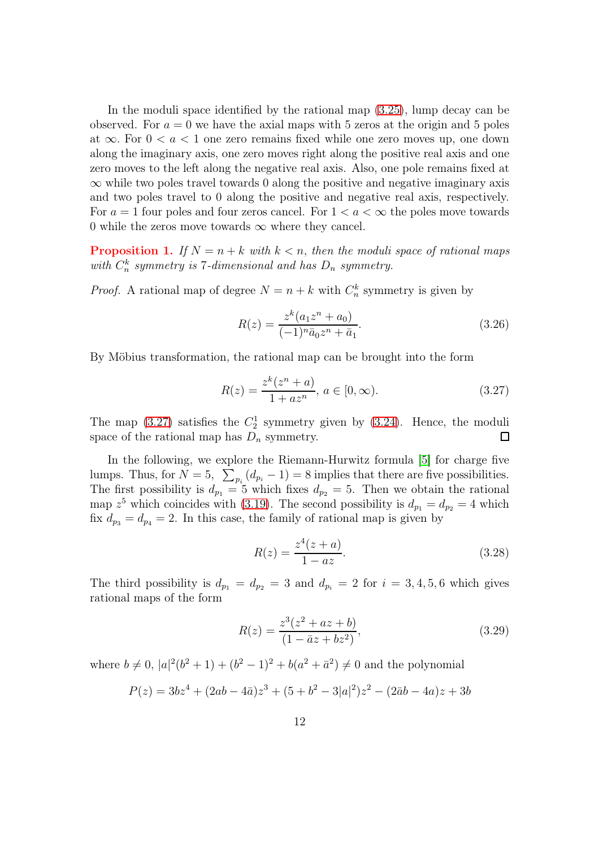In the moduli space identified by the rational map [\(3.25\)](#page-10-2), lump decay can be observed. For  $a = 0$  we have the axial maps with 5 zeros at the origin and 5 poles at  $\infty$ . For  $0 < a < 1$  one zero remains fixed while one zero moves up, one down along the imaginary axis, one zero moves right along the positive real axis and one zero moves to the left along the negative real axis. Also, one pole remains fixed at  $\infty$  while two poles travel towards 0 along the positive and negative imaginary axis and two poles travel to 0 along the positive and negative real axis, respectively. For  $a = 1$  four poles and four zeros cancel. For  $1 < a < \infty$  the poles move towards 0 while the zeros move towards  $\infty$  where they cancel.

**Proposition 1.** If  $N = n + k$  with  $k < n$ , then the moduli space of rational maps with  $C_n^k$  symmetry is 7-dimensional and has  $D_n$  symmetry.

*Proof.* A rational map of degree  $N = n + k$  with  $C_n^k$  symmetry is given by

<span id="page-12-1"></span>
$$
R(z) = \frac{z^k (a_1 z^n + a_0)}{(-1)^n \bar{a}_0 z^n + \bar{a}_1}.
$$
\n(3.26)

By Möbius transformation, the rational map can be brought into the form

$$
R(z) = \frac{z^k (z^n + a)}{1 + az^n}, \, a \in [0, \infty). \tag{3.27}
$$

The map  $(3.27)$  satisfies the  $C_2^1$  symmetry given by  $(3.24)$ . Hence, the moduli space of the rational map has  $D_n$  symmetry.  $\Box$ 

<span id="page-12-0"></span>In the following, we explore the Riemann-Hurwitz formula [\[5\]](#page-21-14) for charge five lumps. Thus, for  $N = 5$ ,  $\sum_{p_i} (d_{p_i} - 1) = 8$  implies that there are five possibilities. The first possibility is  $d_{p_1} = 5$  which fixes  $d_{p_2} = 5$ . Then we obtain the rational map  $z^5$  which coincides with [\(3.19\)](#page-10-3). The second possibility is  $d_{p_1} = d_{p_2} = 4$  which fix  $d_{p_3} = d_{p_4} = 2$ . In this case, the family of rational map is given by

$$
R(z) = \frac{z^4(z+a)}{1-az}.
$$
\n(3.28)

The third possibility is  $d_{p_1} = d_{p_2} = 3$  and  $d_{p_i} = 2$  for  $i = 3, 4, 5, 6$  which gives rational maps of the form

$$
R(z) = \frac{z^3(z^2 + az + b)}{(1 - \bar{a}z + bz^2)},
$$
\n(3.29)

where  $b \neq 0$ ,  $|a|^2(b^2 + 1) + (b^2 - 1)^2 + b(a^2 + \bar{a}^2) \neq 0$  and the polynomial

$$
P(z) = 3bz^{4} + (2ab - 4\bar{a})z^{3} + (5 + b^{2} - 3|a|^{2})z^{2} - (2\bar{a}b - 4a)z + 3b
$$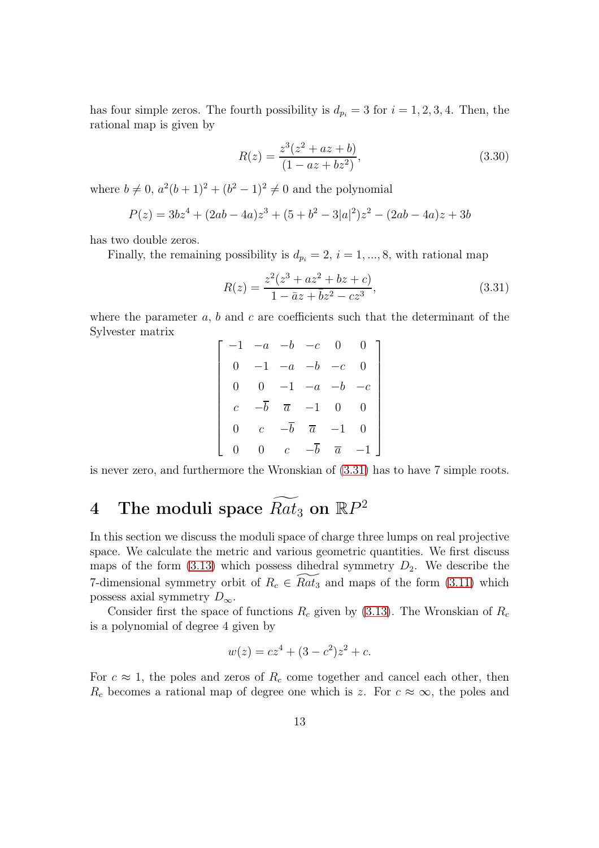has four simple zeros. The fourth possibility is  $d_{p_i} = 3$  for  $i = 1, 2, 3, 4$ . Then, the rational map is given by

$$
R(z) = \frac{z^3(z^2 + az + b)}{(1 - az + bz^2)},
$$
\n(3.30)

<span id="page-13-0"></span>where  $b \neq 0$ ,  $a^2(b+1)^2 + (b^2 - 1)^2 \neq 0$  and the polynomial

$$
P(z) = 3bz4 + (2ab - 4a)z3 + (5 + b2 – 3|a|2)z2 – (2ab – 4a)z + 3b
$$

has two double zeros.

Finally, the remaining possibility is  $d_{p_i} = 2, i = 1, ..., 8$ , with rational map

$$
R(z) = \frac{z^2(z^3 + az^2 + bz + c)}{1 - \bar{a}z + \bar{b}z^2 - cz^3},
$$
\n(3.31)

where the parameter  $a, b$  and  $c$  are coefficients such that the determinant of the Sylvester matrix

|                 | $-1$ $-a$ $-b$ $-c$ |                 |                   | $\vert 0 \vert$ |  |
|-----------------|---------------------|-----------------|-------------------|-----------------|--|
| $0 \quad \cdot$ | 1                   | $-a$ –          |                   | $\,c\,$         |  |
|                 |                     | $0 -1$          | $-a$ –            |                 |  |
|                 |                     |                 | $\overline{a}$ -1 |                 |  |
|                 |                     |                 | $\overline{a}$    |                 |  |
|                 |                     | $\mathcal{C}^-$ | $-\overline{b}$   | $\overline{a}$  |  |

is never zero, and furthermore the Wronskian of [\(3.31\)](#page-12-1) has to have 7 simple roots.

# 4 The moduli space  $\widetilde{Rat}_3$  on  $\mathbb{R}P^2$

In this section we discuss the moduli space of charge three lumps on real projective space. We calculate the metric and various geometric quantities. We first discuss maps of the form  $(3.13)$  which possess dihedral symmetry  $D_2$ . We describe the 7-dimensional symmetry orbit of  $R_c \in \widetilde{Rat}_3$  and maps of the form [\(3.11\)](#page-6-0) which possess axial symmetry  $D_{\infty}$ .

Consider first the space of functions  $R_c$  given by [\(3.13\)](#page-7-0). The Wronskian of  $R_c$ is a polynomial of degree 4 given by

$$
w(z) = cz^4 + (3 - c^2)z^2 + c.
$$

For  $c \approx 1$ , the poles and zeros of  $R_c$  come together and cancel each other, then  $R_c$  becomes a rational map of degree one which is z. For  $c \approx \infty$ , the poles and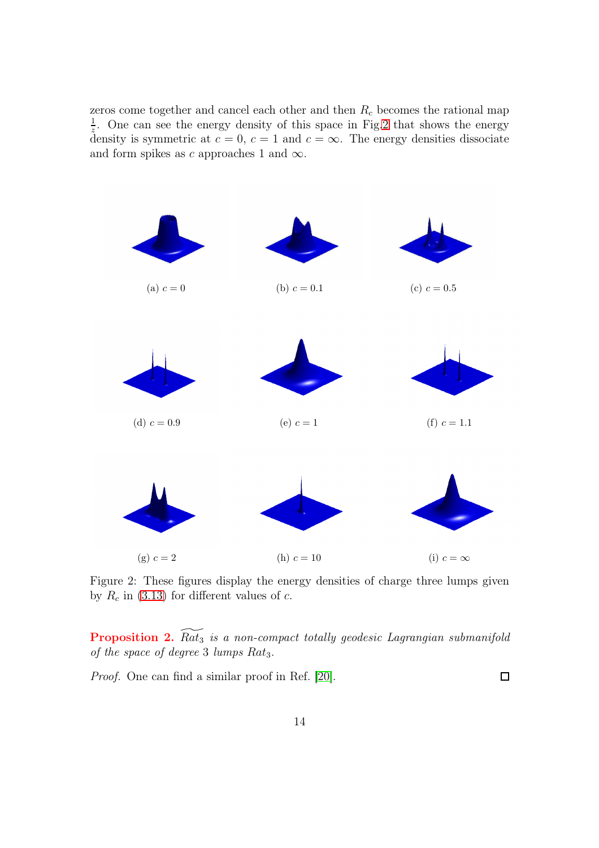zeros come together and cancel each other and then  $R_c$  becomes the rational map 1  $\frac{1}{z}$ . One can see the energy density of this space in Fig[.2](#page-13-0) that shows the energy density is symmetric at  $c = 0$ ,  $c = 1$  and  $c = \infty$ . The energy densities dissociate and form spikes as c approaches 1 and  $\infty$ .

<span id="page-14-1"></span><span id="page-14-0"></span>

<span id="page-14-2"></span>Figure 2: These figures display the energy densities of charge three lumps given by  $R_c$  in [\(3.13\)](#page-7-0) for different values of c.

**Proposition 2.**  $\widetilde{Rat_3}$  is a non-compact totally geodesic Lagrangian submanifold of the space of degree 3 lumps  $Rat_3$ .

Proof. One can find a similar proof in Ref. [\[20\]](#page-22-1).

 $\Box$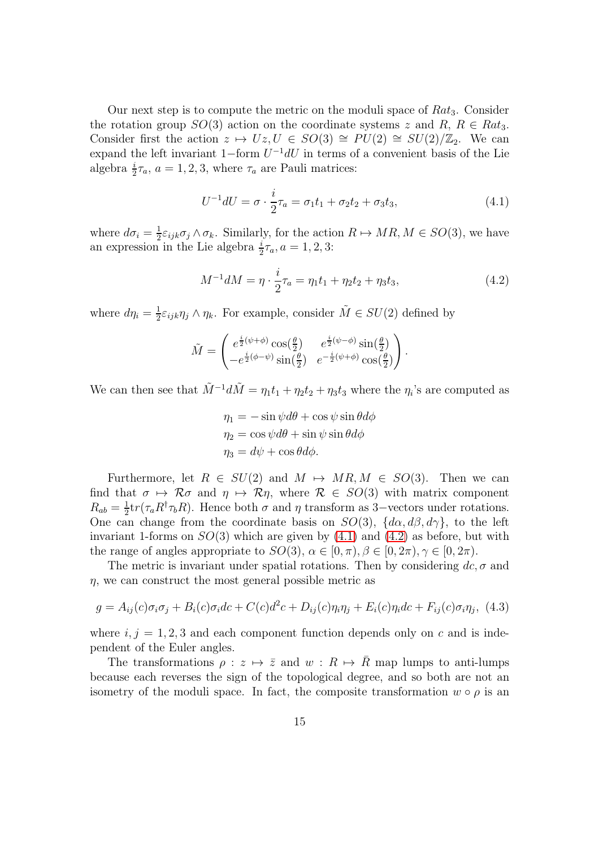Our next step is to compute the metric on the moduli space of  $Rat_3$ . Consider the rotation group  $SO(3)$  action on the coordinate systems z and  $R, R \in Rat_3$ . Consider first the action  $z \mapsto Uz$ ,  $U \in SO(3) \cong PU(2) \cong SU(2)/\mathbb{Z}_2$ . We can expand the left invariant 1–form  $U^{-1}dU$  in terms of a convenient basis of the Lie algebra  $\frac{i}{2}\tau_a$ ,  $a = 1, 2, 3$ , where  $\tau_a$  are Pauli matrices:

<span id="page-15-0"></span>
$$
U^{-1}dU = \sigma \cdot \frac{i}{2}\tau_a = \sigma_1 t_1 + \sigma_2 t_2 + \sigma_3 t_3,
$$
\n(4.1)

where  $d\sigma_i = \frac{1}{2}$  $\frac{1}{2}\varepsilon_{ijk}\sigma_j \wedge \sigma_k$ . Similarly, for the action  $R \mapsto MR, M \in SO(3)$ , we have an expression in the Lie algebra  $\frac{i}{2}\tau_a$ ,  $a = 1, 2, 3$ :

$$
M^{-1}dM = \eta \cdot \frac{i}{2}\tau_a = \eta_1 t_1 + \eta_2 t_2 + \eta_3 t_3, \qquad (4.2)
$$

where  $d\eta_i = \frac{1}{2}$  $\frac{1}{2}\varepsilon_{ijk}\eta_j\wedge\eta_k$ . For example, consider  $\tilde{M}\in SU(2)$  defined by

$$
\tilde{M} = \begin{pmatrix} e^{\frac{i}{2}(\psi + \phi)} \cos(\frac{\theta}{2}) & e^{\frac{i}{2}(\psi - \phi)} \sin(\frac{\theta}{2}) \\ -e^{\frac{i}{2}(\phi - \psi)} \sin(\frac{\theta}{2}) & e^{-\frac{i}{2}(\psi + \phi)} \cos(\frac{\theta}{2}) \end{pmatrix}.
$$

We can then see that  $\tilde{M}^{-1}d\tilde{M} = \eta_1t_1 + \eta_2t_2 + \eta_3t_3$  where the  $\eta_i$ 's are computed as

<span id="page-15-1"></span>
$$
\eta_1 = -\sin\psi d\theta + \cos\psi \sin\theta d\phi
$$
  

$$
\eta_2 = \cos\psi d\theta + \sin\psi \sin\theta d\phi
$$
  

$$
\eta_3 = d\psi + \cos\theta d\phi.
$$

<span id="page-15-2"></span>Furthermore, let  $R \in SU(2)$  and  $M \mapsto MR, M \in SO(3)$ . Then we can find that  $\sigma \mapsto \mathcal{R}\sigma$  and  $\eta \mapsto \mathcal{R}\eta$ , where  $\mathcal{R} \in SO(3)$  with matrix component  $R_{ab}=\frac{1}{2}$  $\frac{1}{2} \text{tr}(\tau_a R^{\dagger} \tau_b R)$ . Hence both  $\sigma$  and  $\eta$  transform as 3–vectors under rotations. One can change from the coordinate basis on  $SO(3)$ ,  $\{d\alpha, d\beta, d\gamma\}$ , to the left invariant 1-forms on  $SO(3)$  which are given by  $(4.1)$  and  $(4.2)$  as before, but with the range of angles appropriate to  $SO(3)$ ,  $\alpha \in [0, \pi)$ ,  $\beta \in [0, 2\pi)$ ,  $\gamma \in [0, 2\pi)$ .

The metric is invariant under spatial rotations. Then by considering  $dc, \sigma$  and  $\eta$ , we can construct the most general possible metric as

$$
g = A_{ij}(c)\sigma_i\sigma_j + B_i(c)\sigma_i dc + C(c)d^2c + D_{ij}(c)\eta_i\eta_j + E_i(c)\eta_i dc + F_{ij}(c)\sigma_i\eta_j, \tag{4.3}
$$

where  $i, j = 1, 2, 3$  and each component function depends only on c and is independent of the Euler angles.

The transformations  $\rho : z \mapsto \overline{z}$  and  $w : R \mapsto \overline{R}$  map lumps to anti-lumps because each reverses the sign of the topological degree, and so both are not an isometry of the moduli space. In fact, the composite transformation  $w \circ \rho$  is an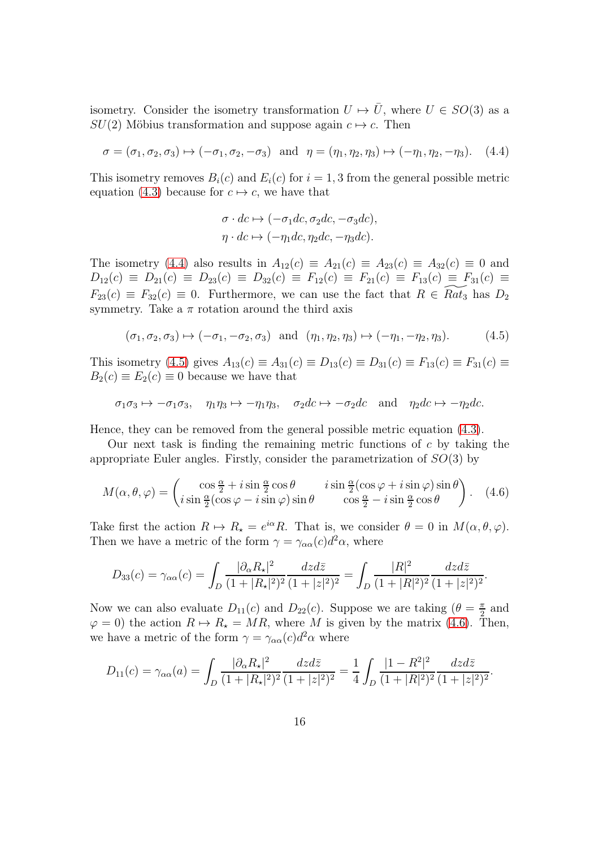isometry. Consider the isometry transformation  $U \mapsto \overline{U}$ , where  $U \in SO(3)$  as a  $SU(2)$  Möbius transformation and suppose again  $c \mapsto c$ . Then

$$
\sigma = (\sigma_1, \sigma_2, \sigma_3) \mapsto (-\sigma_1, \sigma_2, -\sigma_3) \quad \text{and} \quad \eta = (\eta_1, \eta_2, \eta_3) \mapsto (-\eta_1, \eta_2, -\eta_3). \tag{4.4}
$$

This isometry removes  $B_i(c)$  and  $E_i(c)$  for  $i = 1, 3$  from the general possible metric equation [\(4.3\)](#page-14-2) because for  $c \mapsto c$ , we have that

$$
\sigma \cdot dc \mapsto (-\sigma_1 dc, \sigma_2 dc, -\sigma_3 dc),
$$
  

$$
\eta \cdot dc \mapsto (-\eta_1 dc, \eta_2 dc, -\eta_3 dc).
$$

The isometry [\(4.4\)](#page-15-0) also results in  $A_{12}(c) \equiv A_{21}(c) \equiv A_{23}(c) \equiv A_{32}(c) \equiv 0$  and  $D_{12}(c) \equiv D_{21}(c) \equiv D_{23}(c) \equiv D_{32}(c) \equiv F_{12}(c) \equiv F_{21}(c) \equiv F_{13}(c) \equiv F_{31}(c) \equiv$  $F_{23}(c) \equiv F_{32}(c) \equiv 0$ . Furthermore, we can use the fact that  $R \in Rat_3$  has  $D_2$ symmetry. Take a  $\pi$  rotation around the third axis

$$
(\sigma_1, \sigma_2, \sigma_3) \mapsto (-\sigma_1, -\sigma_2, \sigma_3)
$$
 and  $(\eta_1, \eta_2, \eta_3) \mapsto (-\eta_1, -\eta_2, \eta_3).$  (4.5)

This isometry [\(4.5\)](#page-15-1) gives  $A_{13}(c) \equiv A_{31}(c) \equiv D_{13}(c) \equiv D_{31}(c) \equiv F_{13}(c) \equiv F_{31}(c) \equiv$  $B_2(c) \equiv E_2(c) \equiv 0$  because we have that

$$
\sigma_1 \sigma_3 \mapsto -\sigma_1 \sigma_3
$$
,  $\eta_1 \eta_3 \mapsto -\eta_1 \eta_3$ ,  $\sigma_2 dc \mapsto -\sigma_2 dc$  and  $\eta_2 dc \mapsto -\eta_2 dc$ .

Hence, they can be removed from the general possible metric equation [\(4.3\)](#page-14-2).

Our next task is finding the remaining metric functions of  $c$  by taking the appropriate Euler angles. Firstly, consider the parametrization of  $SO(3)$  by

$$
M(\alpha, \theta, \varphi) = \begin{pmatrix} \cos\frac{\alpha}{2} + i\sin\frac{\alpha}{2}\cos\theta & i\sin\frac{\alpha}{2}(\cos\varphi + i\sin\varphi)\sin\theta\\ i\sin\frac{\alpha}{2}(\cos\varphi - i\sin\varphi)\sin\theta & \cos\frac{\alpha}{2} - i\sin\frac{\alpha}{2}\cos\theta \end{pmatrix}.
$$
 (4.6)

Take first the action  $R \mapsto R_{\star} = e^{i\alpha} R$ . That is, we consider  $\theta = 0$  in  $M(\alpha, \theta, \varphi)$ . Then we have a metric of the form  $\gamma = \gamma_{\alpha\alpha}(c) d^2\alpha$ , where

$$
D_{33}(c) = \gamma_{\alpha\alpha}(c) = \int_D \frac{|\partial_\alpha R_\star|^2}{(1+|R_\star|^2)^2} \frac{dzd\bar{z}}{(1+|z|^2)^2} = \int_D \frac{|R|^2}{(1+|R|^2)^2} \frac{dzd\bar{z}}{(1+|z|^2)^2}.
$$

Now we can also evaluate  $D_{11}(c)$  and  $D_{22}(c)$ . Suppose we are taking  $(\theta = \frac{\pi}{2})$  $\frac{\pi}{2}$  and  $\varphi = 0$ ) the action  $R \mapsto R_{\star} = MR$ , where M is given by the matrix [\(4.6\)](#page-15-2). Then, we have a metric of the form  $\gamma = \gamma_{\alpha\alpha}(c) d^2\alpha$  where

<span id="page-16-0"></span>
$$
D_{11}(c) = \gamma_{\alpha\alpha}(a) = \int_D \frac{|\partial_{\alpha} R_{\star}|^2}{(1+|R_{\star}|^2)^2} \frac{dzd\bar{z}}{(1+|z|^2)^2} = \frac{1}{4} \int_D \frac{|1-R^2|^2}{(1+|R|^2)^2} \frac{dzd\bar{z}}{(1+|z|^2)^2}.
$$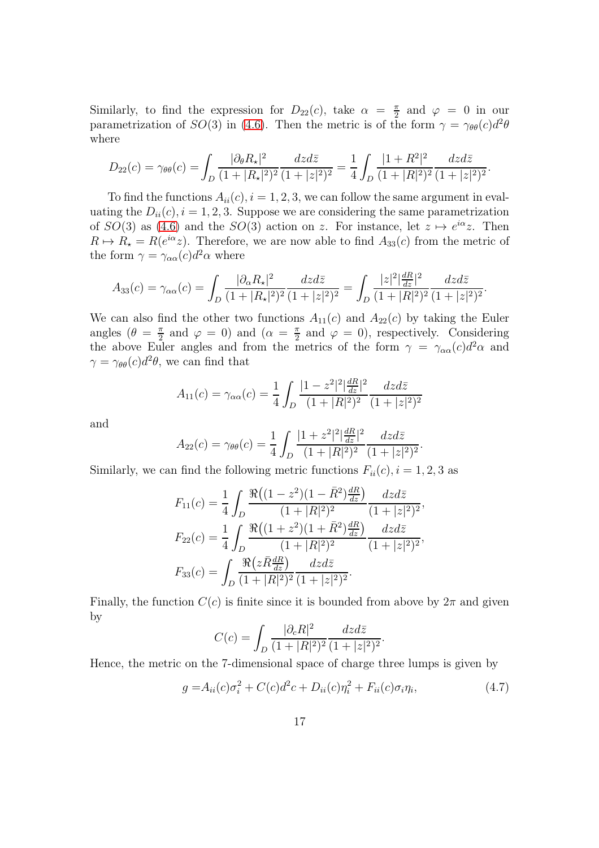Similarly, to find the expression for  $D_{22}(c)$ , take  $\alpha = \frac{\pi}{2}$  $\frac{\pi}{2}$  and  $\varphi = 0$  in our parametrization of  $SO(3)$  in [\(4.6\)](#page-15-2). Then the metric is of the form  $\gamma = \gamma_{\theta\theta}(c)d^2\theta$ where

<span id="page-17-0"></span>
$$
D_{22}(c) = \gamma_{\theta\theta}(c) = \int_D \frac{|\partial_\theta R_\star|^2}{(1+|R_\star|^2)^2} \frac{dzd\bar{z}}{(1+|z|^2)^2} = \frac{1}{4} \int_D \frac{|1+R^2|^2}{(1+|R|^2)^2} \frac{dzd\bar{z}}{(1+|z|^2)^2}.
$$

To find the functions  $A_{ii}(c)$ ,  $i = 1, 2, 3$ , we can follow the same argument in evaluating the  $D_{ii}(c)$ ,  $i = 1, 2, 3$ . Suppose we are considering the same parametrization of  $SO(3)$  as  $(4.6)$  and the  $SO(3)$  action on z. For instance, let  $z \mapsto e^{i\alpha}z$ . Then  $R \mapsto R_{\star} = R(e^{i\alpha}z)$ . Therefore, we are now able to find  $A_{33}(c)$  from the metric of the form  $\gamma = \gamma_{\alpha\alpha}(c)d^2\alpha$  where

$$
A_{33}(c) = \gamma_{\alpha\alpha}(c) = \int_D \frac{|\partial_{\alpha} R_{\star}|^2}{(1+|R_{\star}|^2)^2} \frac{dzd\bar{z}}{(1+|z|^2)^2} = \int_D \frac{|z|^2 \frac{dR}{dz}|^2}{(1+|R|^2)^2} \frac{dzd\bar{z}}{(1+|z|^2)^2}.
$$

We can also find the other two functions  $A_{11}(c)$  and  $A_{22}(c)$  by taking the Euler angles  $(\theta = \frac{\pi}{2})$  $\frac{\pi}{2}$  and  $\varphi = 0$ ) and  $(\alpha = \frac{\pi}{2})$  $\frac{\pi}{2}$  and  $\varphi = 0$ , respectively. Considering the above Euler angles and from the metrics of the form  $\gamma = \gamma_{\alpha\alpha}(c)d^2\alpha$  and  $\gamma = \gamma_{\theta\theta}(c)d^2\theta$ , we can find that

$$
A_{11}(c) = \gamma_{\alpha\alpha}(c) = \frac{1}{4} \int_{D} \frac{|1 - z^2|^2 \left| \frac{dR}{dz} \right|^2}{(1 + |R|^2)^2} \frac{dzd\bar{z}}{(1 + |z|^2)^2}
$$

and

$$
A_{22}(c) = \gamma_{\theta\theta}(c) = \frac{1}{4} \int_D \frac{|1+z^2|^2 \left|\frac{dR}{dz}\right|^2}{(1+|R|^2)^2} \frac{dzd\bar{z}}{(1+|z|^2)^2}.
$$

Similarly, we can find the following metric functions  $F_{ii}(c)$ ,  $i = 1, 2, 3$  as

$$
F_{11}(c) = \frac{1}{4} \int_{D} \frac{\Re((1-z^2)(1-\bar{R}^2)\frac{dR}{dz})}{(1+|R|^2)^2} \frac{dzd\bar{z}}{(1+|z|^2)^2},
$$
  
\n
$$
F_{22}(c) = \frac{1}{4} \int_{D} \frac{\Re((1+z^2)(1+\bar{R}^2)\frac{dR}{dz})}{(1+|R|^2)^2} \frac{dzd\bar{z}}{(1+|z|^2)^2},
$$
  
\n
$$
F_{33}(c) = \int_{D} \frac{\Re(z\bar{R}\frac{dR}{dz})}{(1+|R|^2)^2} \frac{dzd\bar{z}}{(1+|z|^2)^2}.
$$

<span id="page-17-1"></span>Finally, the function  $C(c)$  is finite since it is bounded from above by  $2\pi$  and given by

$$
C(c) = \int_D \frac{|\partial_c R|^2}{(1+|R|^2)^2} \frac{dzd\bar{z}}{(1+|z|^2)^2}.
$$

Hence, the metric on the 7-dimensional space of charge three lumps is given by

$$
g = A_{ii}(c)\sigma_i^2 + C(c)d^2c + D_{ii}(c)\eta_i^2 + F_{ii}(c)\sigma_i\eta_i,
$$
\n(4.7)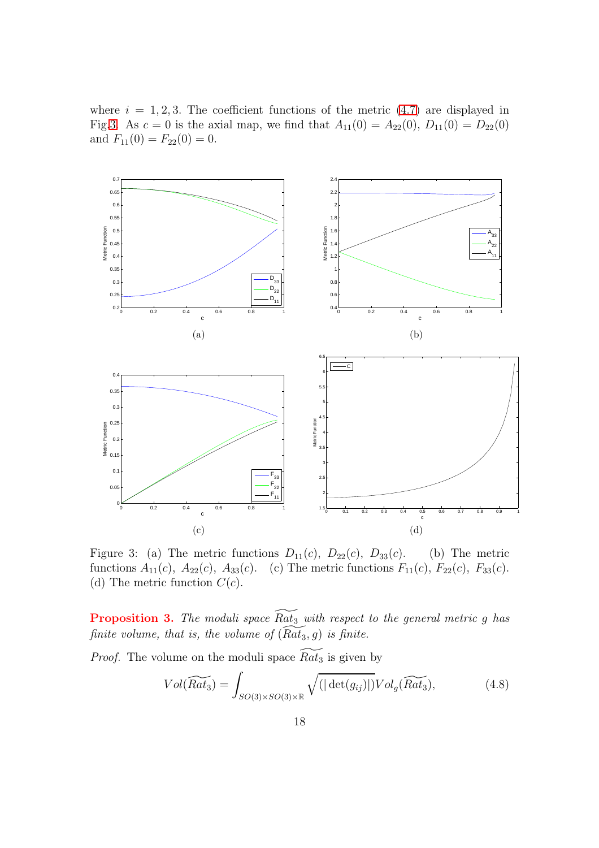where  $i = 1, 2, 3$ . The coefficient functions of the metric  $(4.7)$  are displayed in Fig[.3.](#page-17-0) As  $c = 0$  is the axial map, we find that  $A_{11}(0) = A_{22}(0), D_{11}(0) = D_{22}(0)$ and  $F_{11}(0) = F_{22}(0) = 0.$ 



Figure 3: (a) The metric functions  $D_{11}(c)$ ,  $D_{22}(c)$ ,  $D_{33}(c)$ . (b) The metric functions  $A_{11}(c)$ ,  $A_{22}(c)$ ,  $A_{33}(c)$ . (c) The metric functions  $F_{11}(c)$ ,  $F_{22}(c)$ ,  $F_{33}(c)$ . (d) The metric function  $C(c)$ .

**Proposition 3.** The moduli space  $\widetilde{Rat}_3$  with respect to the general metric g has finite volume, that is, the volume of  $(Rat_3, g)$  is finite.

*Proof.* The volume on the moduli space  $\widetilde{Rat_3}$  is given by

$$
Vol(\widetilde{Rat_3}) = \int_{SO(3)\times SO(3)\times \mathbb{R}} \sqrt{(|\det(g_{ij})|)} Vol_g(\widetilde{Rat_3}), \tag{4.8}
$$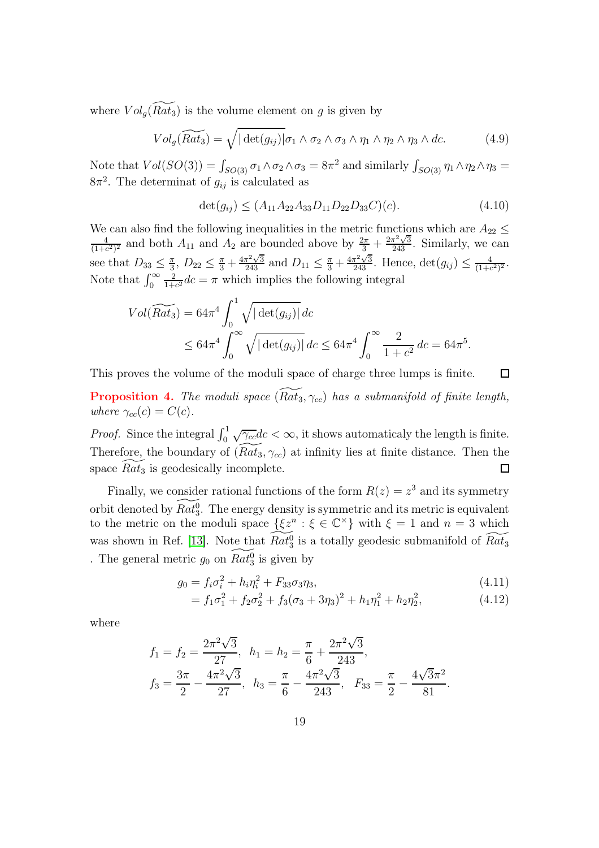where  $Vol_q(\widetilde{Rat_3})$  is the volume element on g is given by

$$
Vol_g(\widetilde{Rat}_3) = \sqrt{|\det(g_{ij})|} \sigma_1 \wedge \sigma_2 \wedge \sigma_3 \wedge \eta_1 \wedge \eta_2 \wedge \eta_3 \wedge dc.
$$
 (4.9)

Note that  $Vol(SO(3)) = \int_{SO(3)} \sigma_1 \wedge \sigma_2 \wedge \sigma_3 = 8\pi^2$  and similarly  $\int_{SO(3)} \eta_1 \wedge \eta_2 \wedge \eta_3 =$  $8\pi^2$ . The determinat of  $g_{ij}$  is calculated as

$$
\det(g_{ij}) \le (A_{11}A_{22}A_{33}D_{11}D_{22}D_{33}C)(c). \tag{4.10}
$$

We can also find the following inequalities in the metric functions which are  $A_{22} \leq$ 4  $\frac{4}{(1+c^2)^2}$  and both  $A_{11}$  and  $A_2$  are bounded above by  $\frac{2\pi}{3} + \frac{2\pi^2\sqrt{3}}{243}$ . Similarly, we can see that  $D_{33} \leq \frac{\pi}{3}$  $\frac{\pi}{3}$ ,  $D_{22} \leq \frac{\pi}{3} + \frac{4\pi^2\sqrt{3}}{243}$  and  $D_{11} \leq \frac{\pi}{3} + \frac{4\pi^2\sqrt{3}}{243}$ . Hence,  $\det(g_{ij}) \leq \frac{4}{(1+\epsilon)}$  $\frac{4}{(1+c^2)^2}$ . Note that  $\int_0^\infty$ 2  $\frac{2}{1+c^2}$ dc =  $\pi$  which implies the following integral

$$
Vol(\widetilde{Rat_3}) = 64\pi^4 \int_0^1 \sqrt{|\det(g_{ij})|} \, dc
$$
  
 
$$
\leq 64\pi^4 \int_0^\infty \sqrt{|\det(g_{ij})|} \, dc \leq 64\pi^4 \int_0^\infty \frac{2}{1+c^2} \, dc = 64\pi^5.
$$

This proves the volume of the moduli space of charge three lumps is finite.  $\Box$ **Proposition 4.** The moduli space  $(\widetilde{Rat}_3, \gamma_{cc})$  has a submanifold of finite length, where  $\gamma_{cc}(c) = C(c)$ .

*Proof.* Since the integral  $\int_0^1 \sqrt{\gamma_c}$  dc  $\lt \infty$ , it shows automaticaly the length is finite. Therefore, the boundary of  $(Rat_3, \gamma_{cc})$  at infinity lies at finite distance. Then the space  $Rat_3$  is geodesically incomplete.  $\Box$ 

Finally, we consider rational functions of the form  $R(z) = z<sup>3</sup>$  and its symmetry orbit denoted by  $\widetilde{Rat_3^0}$ . The energy density is symmetric and its metric is equivalent to the metric on the moduli space  $\{\xi z^n : \xi \in \mathbb{C}^\times\}$  with  $\xi = 1$  and  $n = 3$  which was shown in Ref. [\[13\]](#page-21-4). Note that  $\widetilde{Rat_3}$  is a totally geodesic submanifold of  $\widetilde{Rat_3}$ . The general metric  $g_0$  on  $\widetilde{Rat}_3^0$  is given by

$$
g_0 = f_i \sigma_i^2 + h_i \eta_i^2 + F_{33} \sigma_3 \eta_3, \tag{4.11}
$$

$$
= f_1 \sigma_1^2 + f_2 \sigma_2^2 + f_3 (\sigma_3 + 3\eta_3)^2 + h_1 \eta_1^2 + h_2 \eta_2^2, \tag{4.12}
$$

where

$$
f_1 = f_2 = \frac{2\pi^2\sqrt{3}}{27}, \quad h_1 = h_2 = \frac{\pi}{6} + \frac{2\pi^2\sqrt{3}}{243},
$$
  

$$
f_3 = \frac{3\pi}{2} - \frac{4\pi^2\sqrt{3}}{27}, \quad h_3 = \frac{\pi}{6} - \frac{4\pi^2\sqrt{3}}{243}, \quad F_{33} = \frac{\pi}{2} - \frac{4\sqrt{3}\pi^2}{81}.
$$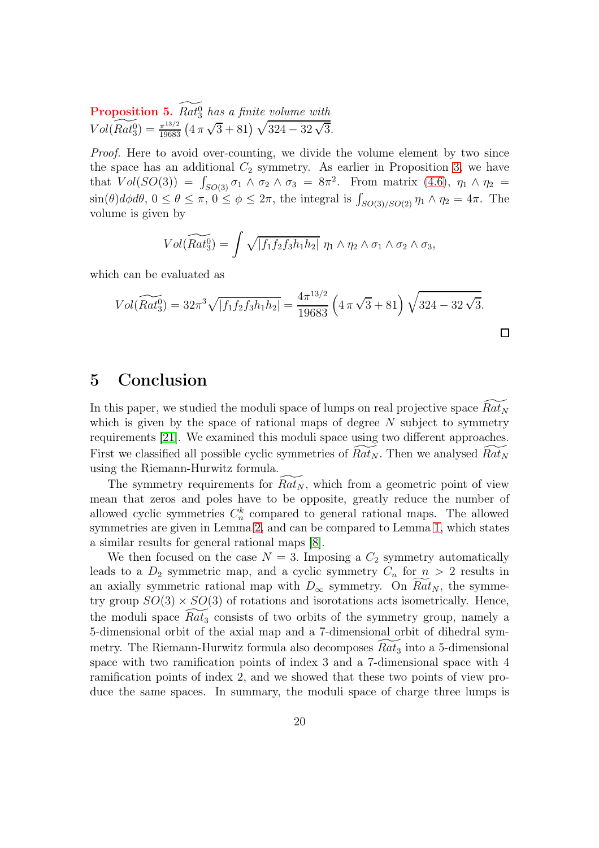**Proposition 5.**  $\widetilde{Rat_3^0}$  has a finite volume with  $Vol(\widetilde{Rat_3^0}) = \frac{\pi^{13/2}}{19683} \left(4\,\pi\,\sqrt{3}+81\right) \sqrt{324-32\,\sqrt{3}}.$ 

Proof. Here to avoid over-counting, we divide the volume element by two since the space has an additional  $C_2$  symmetry. As earlier in Proposition [3,](#page-17-1) we have that  $Vol(SO(3)) = \int_{SO(3)} \sigma_1 \wedge \sigma_2 \wedge \sigma_3 = 8\pi^2$ . From matrix [\(4.6\)](#page-15-2),  $\eta_1 \wedge \eta_2 =$  $\sin(\theta)d\phi d\theta$ ,  $0 \le \theta \le \pi$ ,  $0 \le \phi \le 2\pi$ , the integral is  $\int_{SO(3)/SO(2)} \eta_1 \wedge \eta_2 = 4\pi$ . The volume is given by

$$
Vol(\widetilde{Rat_3^0}) = \int \sqrt{|f_1f_2f_3h_1h_2|} \eta_1 \wedge \eta_2 \wedge \sigma_1 \wedge \sigma_2 \wedge \sigma_3,
$$

which can be evaluated as

$$
Vol(\widetilde{Rat}_3^0) = 32\pi^3 \sqrt{|f_1 f_2 f_3 h_1 h_2|} = \frac{4\pi^{13/2}}{19683} \left(4\pi\sqrt{3} + 81\right) \sqrt{324 - 32\sqrt{3}}.
$$

#### 5 Conclusion

In this paper, we studied the moduli space of lumps on real projective space  $Rat_N$ which is given by the space of rational maps of degree  $N$  subject to symmetry requirements [\[21\]](#page-22-5). We examined this moduli space using two different approaches. First we classified all possible cyclic symmetries of  $Rat_N$ . Then we analysed  $Rat_N$ using the Riemann-Hurwitz formula.

The symmetry requirements for  $Rat_N$ , which from a geometric point of view mean that zeros and poles have to be opposite, greatly reduce the number of allowed cyclic symmetries  $C_n^k$  compared to general rational maps. The allowed symmetries are given in Lemma [2,](#page-5-3) and can be compared to Lemma [1,](#page-4-3) which states a similar results for general rational maps [\[8\]](#page-21-9).

<span id="page-20-1"></span><span id="page-20-0"></span>We then focused on the case  $N = 3$ . Imposing a  $C_2$  symmetry automatically leads to a  $D_2$  symmetric map, and a cyclic symmetry  $C_n$  for  $n > 2$  results in an axially symmetric rational map with  $D_{\infty}$  symmetry. On  $Rat_N$ , the symmetry group  $SO(3) \times SO(3)$  of rotations and isorotations acts isometrically. Hence, the moduli space  $Rat_3$  consists of two orbits of the symmetry group, namely a 5-dimensional orbit of the axial map and a 7-dimensional orbit of dihedral symmetry. The Riemann-Hurwitz formula also decomposes  $Rat_3$  into a 5-dimensional space with two ramification points of index 3 and a 7-dimensional space with 4 ramification points of index 2, and we showed that these two points of view produce the same spaces. In summary, the moduli space of charge three lumps is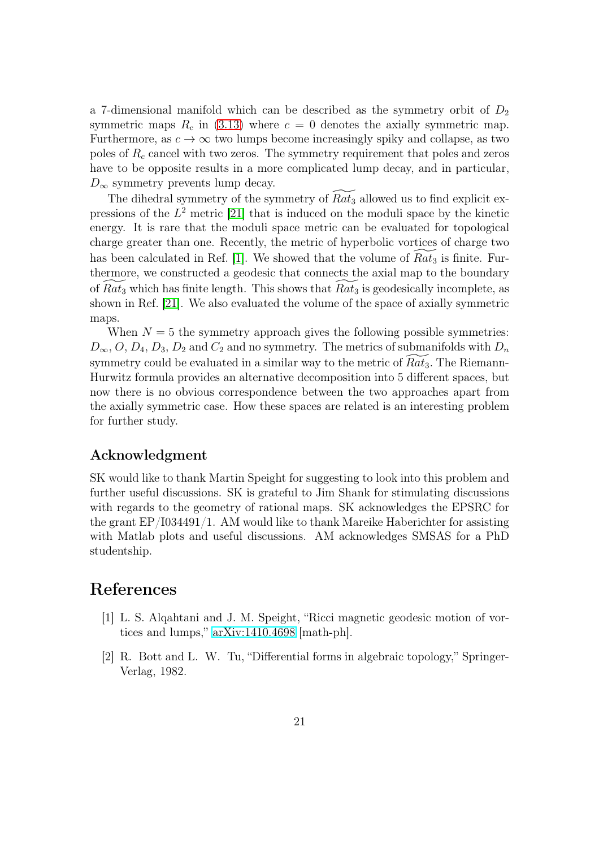<span id="page-21-7"></span><span id="page-21-2"></span>a 7-dimensional manifold which can be described as the symmetry orbit of  $D_2$ symmetric maps  $R_c$  in [\(3.13\)](#page-7-0) where  $c = 0$  denotes the axially symmetric map. Furthermore, as  $c \to \infty$  two lumps become increasingly spiky and collapse, as two poles of  $R_c$  cancel with two zeros. The symmetry requirement that poles and zeros have to be opposite results in a more complicated lump decay, and in particular,  $D_{\infty}$  symmetry prevents lump decay.

<span id="page-21-14"></span><span id="page-21-8"></span><span id="page-21-5"></span>The dihedral symmetry of the symmetry of  $\widetilde{Rat_3}$  allowed us to find explicit expressions of the  $L^2$  metric [\[21\]](#page-22-5) that is induced on the moduli space by the kinetic energy. It is rare that the moduli space metric can be evaluated for topological charge greater than one. Recently, the metric of hyperbolic vortices of charge two has been calculated in Ref. [\[1\]](#page-20-1). We showed that the volume of  $Rat_3$  is finite. Furthermore, we constructed a geodesic that connects the axial map to the boundary of  $Rat_3$  which has finite length. This shows that  $Rat_3$  is geodesically incomplete, as shown in Ref. [\[21\]](#page-22-5). We also evaluated the volume of the space of axially symmetric maps.

<span id="page-21-12"></span><span id="page-21-9"></span><span id="page-21-6"></span>When  $N = 5$  the symmetry approach gives the following possible symmetries:  $D_{\infty}, O, D_4, D_3, D_2$  and  $C_2$  and no symmetry. The metrics of submanifolds with  $D_n$ symmetry could be evaluated in a similar way to the metric of  $Rat_3$ . The Riemann-Hurwitz formula provides an alternative decomposition into 5 different spaces, but now there is no obvious correspondence between the two approaches apart from the axially symmetric case. How these spaces are related is an interesting problem for further study.

#### <span id="page-21-13"></span><span id="page-21-11"></span>Acknowledgment

<span id="page-21-4"></span><span id="page-21-0"></span>SK would like to thank Martin Speight for suggesting to look into this problem and further useful discussions. SK is grateful to Jim Shank for stimulating discussions with regards to the geometry of rational maps. SK acknowledges the EPSRC for the grant EP/I034491/1. AM would like to thank Mareike Haberichter for assisting with Matlab plots and useful discussions. AM acknowledges SMSAS for a PhD studentship.

#### <span id="page-21-3"></span>References

- <span id="page-21-10"></span>[1] L. S. Alqahtani and J. M. Speight, "Ricci magnetic geodesic motion of vortices and lumps," [arXiv:1410.4698](http://arxiv.org/abs/1410.4698) [math-ph].
- <span id="page-21-1"></span>[2] R. Bott and L. W. Tu, "Differential forms in algebraic topology," Springer-Verlag, 1982.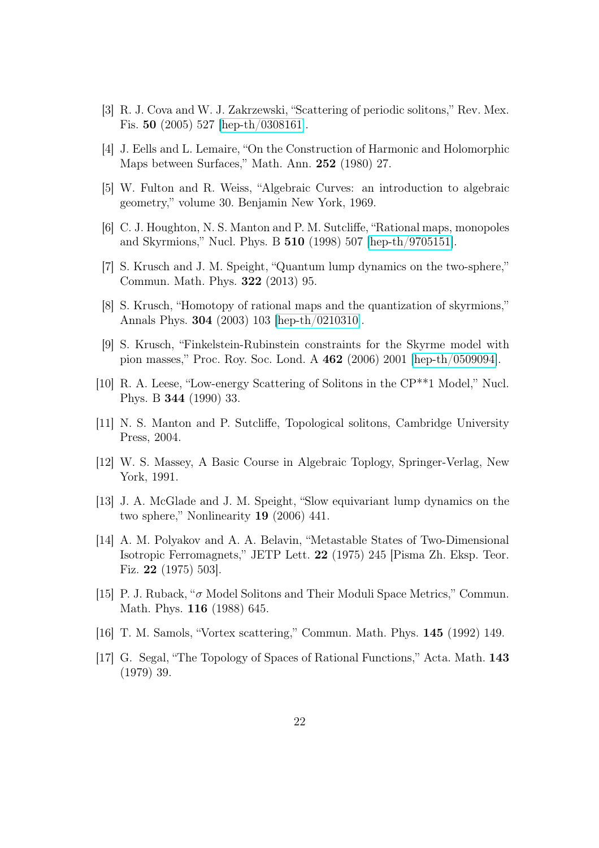- <span id="page-22-0"></span>[3] R. J. Cova and W. J. Zakrzewski, "Scattering of periodic solitons," Rev. Mex. Fis. 50 (2005) 527 [\[hep-th/0308161\]](http://arxiv.org/abs/hep-th/0308161).
- <span id="page-22-4"></span><span id="page-22-1"></span>[4] J. Eells and L. Lemaire, "On the Construction of Harmonic and Holomorphic Maps between Surfaces," Math. Ann. 252 (1980) 27.
- <span id="page-22-5"></span>[5] W. Fulton and R. Weiss, "Algebraic Curves: an introduction to algebraic geometry," volume 30. Benjamin New York, 1969.
- <span id="page-22-3"></span>[6] C. J. Houghton, N. S. Manton and P. M. Sutcliffe, "Rational maps, monopoles and Skyrmions," Nucl. Phys. B 510 (1998) 507 [\[hep-th/9705151\]](http://arxiv.org/abs/hep-th/9705151).
- <span id="page-22-2"></span>[7] S. Krusch and J. M. Speight, "Quantum lump dynamics on the two-sphere," Commun. Math. Phys. 322 (2013) 95.
- [8] S. Krusch, "Homotopy of rational maps and the quantization of skyrmions," Annals Phys. 304 (2003) 103 [\[hep-th/0210310\]](http://arxiv.org/abs/hep-th/0210310).
- [9] S. Krusch, "Finkelstein-Rubinstein constraints for the Skyrme model with pion masses," Proc. Roy. Soc. Lond. A 462 (2006) 2001 [\[hep-th/0509094\]](http://arxiv.org/abs/hep-th/0509094).
- [10] R. A. Leese, "Low-energy Scattering of Solitons in the CP\*\*1 Model," Nucl. Phys. B 344 (1990) 33.
- [11] N. S. Manton and P. Sutcliffe, Topological solitons, Cambridge University Press, 2004.
- [12] W. S. Massey, A Basic Course in Algebraic Toplogy, Springer-Verlag, New York, 1991.
- [13] J. A. McGlade and J. M. Speight, "Slow equivariant lump dynamics on the two sphere," Nonlinearity 19 (2006) 441.
- [14] A. M. Polyakov and A. A. Belavin, "Metastable States of Two-Dimensional Isotropic Ferromagnets," JETP Lett. 22 (1975) 245 [Pisma Zh. Eksp. Teor. Fiz. 22 (1975) 503].
- [15] P. J. Ruback, " $\sigma$  Model Solitons and Their Moduli Space Metrics," Commun. Math. Phys. 116 (1988) 645.
- [16] T. M. Samols, "Vortex scattering," Commun. Math. Phys. 145 (1992) 149.
- [17] G. Segal, "The Topology of Spaces of Rational Functions," Acta. Math. 143 (1979) 39.